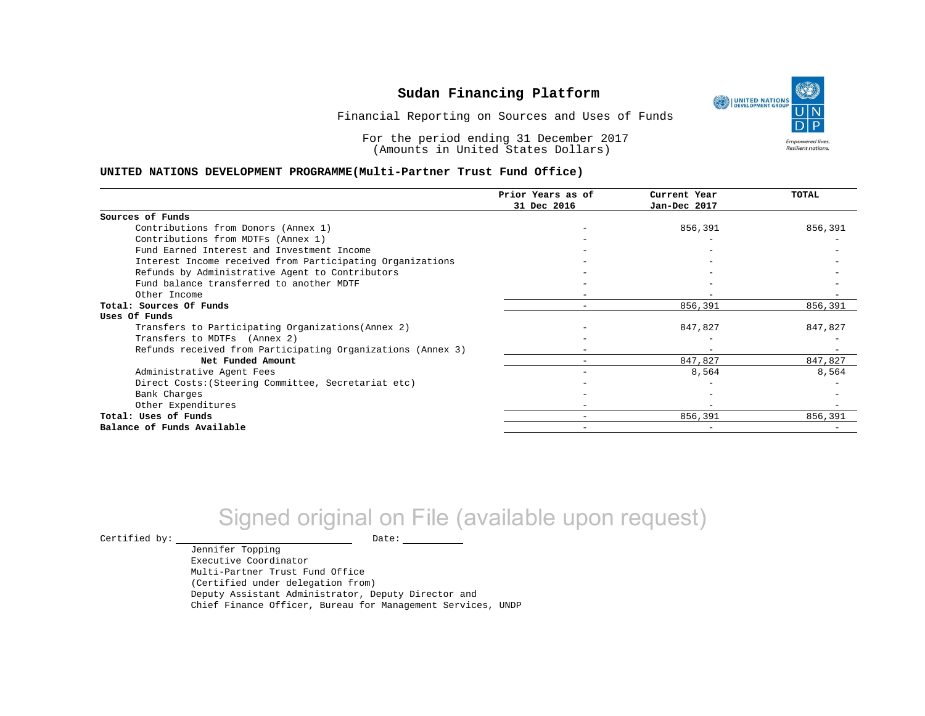UNITED NATIONS **Empowered lives** Resilient nations.

Financial Reporting on Sources and Uses of Funds

For the period ending 31 December 2017 (Amounts in United States Dollars)

#### **UNITED NATIONS DEVELOPMENT PROGRAMME(Multi-Partner Trust Fund Office)**

|                                                             | Prior Years as of | Current Year             | TOTAL   |
|-------------------------------------------------------------|-------------------|--------------------------|---------|
|                                                             | 31 Dec 2016       | Jan-Dec 2017             |         |
| Sources of Funds                                            |                   |                          |         |
| Contributions from Donors (Annex 1)                         |                   | 856,391                  | 856,391 |
| Contributions from MDTFs (Annex 1)                          |                   |                          |         |
| Fund Earned Interest and Investment Income                  |                   |                          |         |
| Interest Income received from Participating Organizations   |                   |                          |         |
| Refunds by Administrative Agent to Contributors             |                   |                          |         |
| Fund balance transferred to another MDTF                    |                   |                          |         |
| Other Income                                                |                   |                          |         |
| Total: Sources Of Funds                                     |                   | 856,391                  | 856,391 |
| Uses Of Funds                                               |                   |                          |         |
| Transfers to Participating Organizations (Annex 2)          |                   | 847,827                  | 847,827 |
| Transfers to MDTFs (Annex 2)                                |                   |                          |         |
| Refunds received from Participating Organizations (Annex 3) |                   | $\overline{\phantom{m}}$ |         |
| Net Funded Amount                                           |                   | 847,827                  | 847,827 |
| Administrative Agent Fees                                   |                   | 8,564                    | 8,564   |
| Direct Costs: (Steering Committee, Secretariat etc)         |                   |                          |         |
| Bank Charges                                                |                   |                          |         |
| Other Expenditures                                          |                   |                          |         |
| Total: Uses of Funds                                        |                   | 856,391                  | 856,391 |
| Balance of Funds Available                                  |                   |                          |         |

# Signed original on File (available upon request)

 $\begin{picture}(180,180)(0,0) \put(0,0){\vector(1,0){180}} \put(15,0){\vector(1,0){180}} \put(15,0){\vector(1,0){180}} \put(15,0){\vector(1,0){180}} \put(15,0){\vector(1,0){180}} \put(15,0){\vector(1,0){180}} \put(15,0){\vector(1,0){180}} \put(15,0){\vector(1,0){180}} \put(15,0){\vector(1,0){180}} \put(15,0){\vector(1,0){180}} \put(15,0){\vector(1,0$ 

Jennifer Topping Executive Coordinator Multi-Partner Trust Fund Office (Certified under delegation from) Deputy Assistant Administrator, Deputy Director and Chief Finance Officer, Bureau for Management Services, UNDP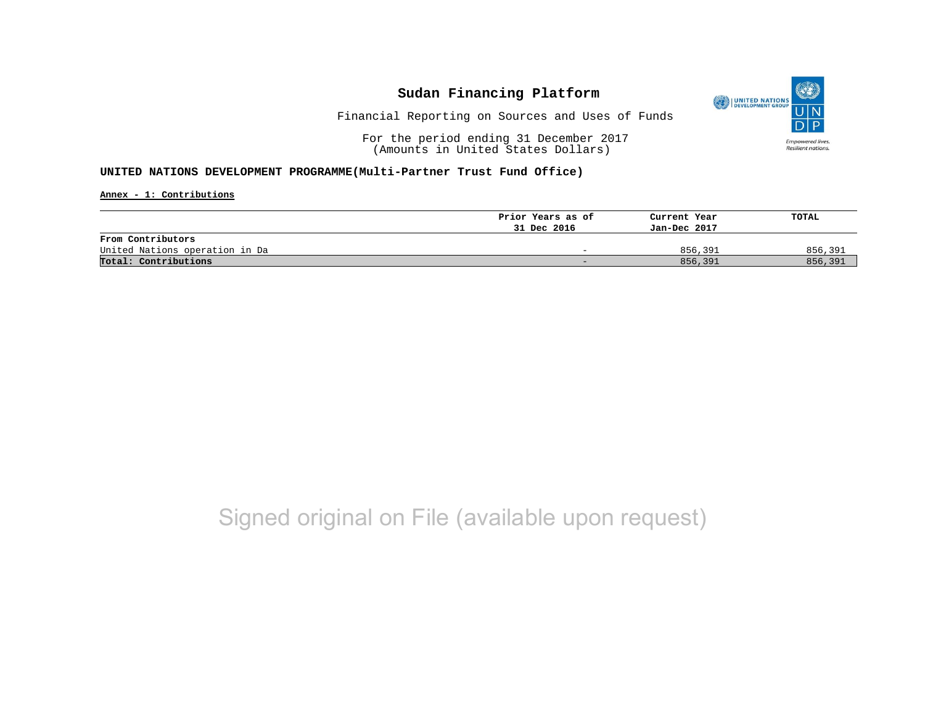

Financial Reporting on Sources and Uses of Funds

For the period ending 31 December 2017 (Amounts in United States Dollars)

### **UNITED NATIONS DEVELOPMENT PROGRAMME(Multi-Partner Trust Fund Office)**

**Annex - 1: Contributions**

|                                | Prior Years as of | Current Year | TOTAL   |
|--------------------------------|-------------------|--------------|---------|
|                                | 31 Dec 2016       | Jan-Dec 2017 |         |
| From Contributors              |                   |              |         |
| United Nations operation in Da | -                 | 856,391      | 856,391 |
| Total: Contributions           | -                 | 856,391      | 856,391 |

# Signed original on File (available upon request)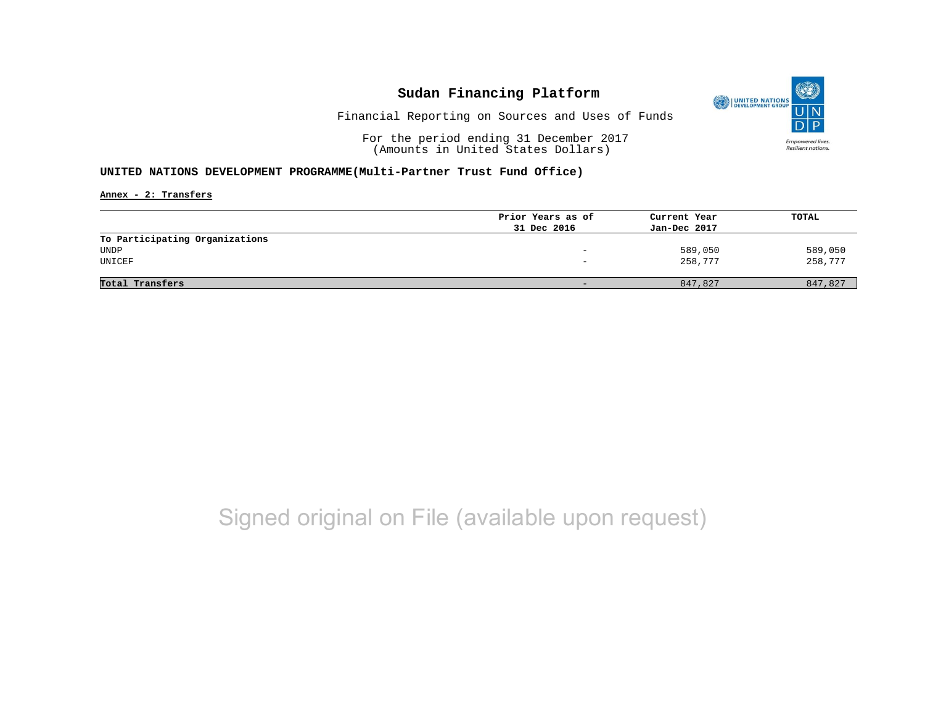

Financial Reporting on Sources and Uses of Funds

For the period ending 31 December 2017 (Amounts in United States Dollars)

### **UNITED NATIONS DEVELOPMENT PROGRAMME(Multi-Partner Trust Fund Office)**

**Annex - 2: Transfers**

|                                | Prior Years as of | Current Year | TOTAL   |
|--------------------------------|-------------------|--------------|---------|
|                                | 31 Dec 2016       | Jan-Dec 2017 |         |
| To Participating Organizations |                   |              |         |
| UNDP                           | -                 | 589,050      | 589,050 |
| UNICEF                         | -                 | 258,777      | 258,777 |
|                                |                   |              |         |
| Total Transfers                |                   | 847,827      | 847,827 |
|                                |                   |              |         |

# Signed original on File (available upon request)